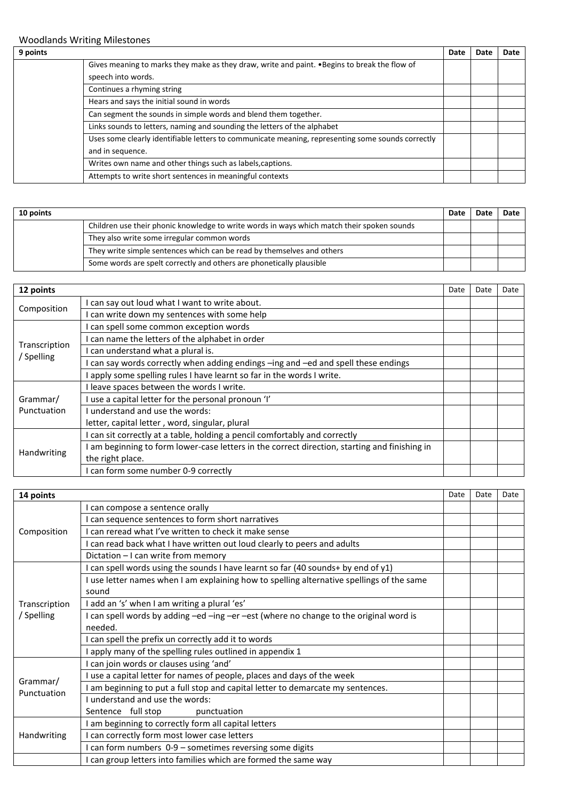| 9 points |                                                                                                                     | Date | Date | Date |
|----------|---------------------------------------------------------------------------------------------------------------------|------|------|------|
|          | Gives meaning to marks they make as they draw, write and paint. • Begins to break the flow of<br>speech into words. |      |      |      |
|          | Continues a rhyming string                                                                                          |      |      |      |
|          | Hears and says the initial sound in words                                                                           |      |      |      |
|          | Can segment the sounds in simple words and blend them together.                                                     |      |      |      |
|          | Links sounds to letters, naming and sounding the letters of the alphabet                                            |      |      |      |
|          | Uses some clearly identifiable letters to communicate meaning, representing some sounds correctly                   |      |      |      |
|          | and in sequence.                                                                                                    |      |      |      |
|          | Writes own name and other things such as labels, captions.                                                          |      |      |      |
|          | Attempts to write short sentences in meaningful contexts                                                            |      |      |      |

| 10 points |                                                                                            | Date | Date | Date |
|-----------|--------------------------------------------------------------------------------------------|------|------|------|
|           | Children use their phonic knowledge to write words in ways which match their spoken sounds |      |      |      |
|           | They also write some irregular common words                                                |      |      |      |
|           | They write simple sentences which can be read by themselves and others                     |      |      |      |
|           | Some words are spelt correctly and others are phonetically plausible                       |      |      |      |

| 12 points     |                                                                                             | Date | Date | Date |
|---------------|---------------------------------------------------------------------------------------------|------|------|------|
| Composition   | I can say out loud what I want to write about.                                              |      |      |      |
|               | I can write down my sentences with some help                                                |      |      |      |
| Transcription | can spell some common exception words                                                       |      |      |      |
|               | I can name the letters of the alphabet in order                                             |      |      |      |
|               | can understand what a plural is.                                                            |      |      |      |
| / Spelling    | can say words correctly when adding endings -ing and -ed and spell these endings            |      |      |      |
|               | apply some spelling rules I have learnt so far in the words I write.                        |      |      |      |
|               | I leave spaces between the words I write.                                                   |      |      |      |
| Grammar/      | use a capital letter for the personal pronoun 'I'                                           |      |      |      |
| Punctuation   | I understand and use the words:                                                             |      |      |      |
|               | letter, capital letter, word, singular, plural                                              |      |      |      |
|               | I can sit correctly at a table, holding a pencil comfortably and correctly                  |      |      |      |
|               | am beginning to form lower-case letters in the correct direction, starting and finishing in |      |      |      |
| Handwriting   | the right place.                                                                            |      |      |      |
|               | I can form some number 0-9 correctly                                                        |      |      |      |

| 14 points     |                                                                                                    | Date | Date | Date |
|---------------|----------------------------------------------------------------------------------------------------|------|------|------|
|               | can compose a sentence orally                                                                      |      |      |      |
|               | can sequence sentences to form short narratives                                                    |      |      |      |
| Composition   | I can reread what I've written to check it make sense                                              |      |      |      |
|               | I can read back what I have written out loud clearly to peers and adults                           |      |      |      |
|               | Dictation - I can write from memory                                                                |      |      |      |
|               | can spell words using the sounds I have learnt so far (40 sounds+ by end of y1)                    |      |      |      |
| Transcription | I use letter names when I am explaining how to spelling alternative spellings of the same<br>sound |      |      |      |
|               | I add an 's' when I am writing a plural 'es'                                                       |      |      |      |
| / Spelling    | I can spell words by adding -ed -ing -er -est (where no change to the original word is             |      |      |      |
|               | needed.                                                                                            |      |      |      |
|               | I can spell the prefix un correctly add it to words                                                |      |      |      |
|               | I apply many of the spelling rules outlined in appendix 1                                          |      |      |      |
|               | can join words or clauses using 'and'                                                              |      |      |      |
| Grammar/      | use a capital letter for names of people, places and days of the week                              |      |      |      |
| Punctuation   | am beginning to put a full stop and capital letter to demarcate my sentences.                      |      |      |      |
|               | I understand and use the words:                                                                    |      |      |      |
|               | Sentence full stop<br>punctuation                                                                  |      |      |      |
|               | am beginning to correctly form all capital letters                                                 |      |      |      |
| Handwriting   | can correctly form most lower case letters                                                         |      |      |      |
|               | I can form numbers 0-9 - sometimes reversing some digits                                           |      |      |      |
|               | I can group letters into families which are formed the same way                                    |      |      |      |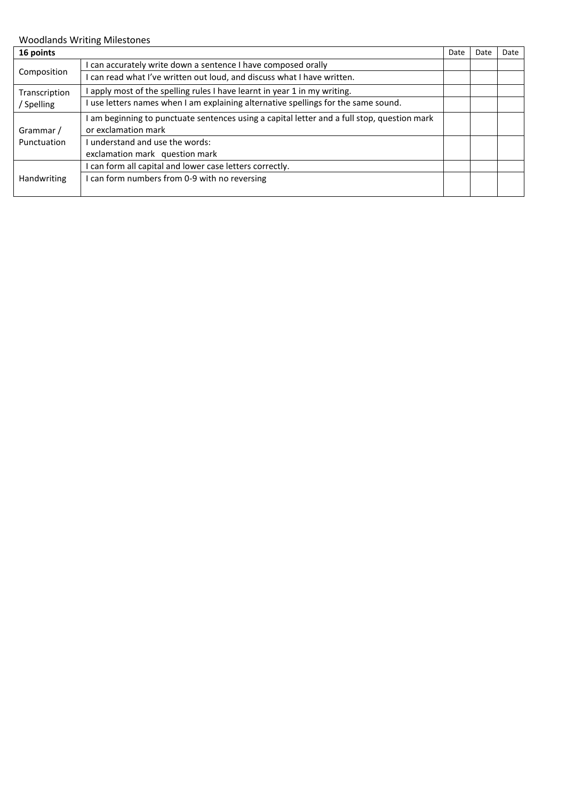| 16 points                 |                                                                                           | Date | Date | Date |
|---------------------------|-------------------------------------------------------------------------------------------|------|------|------|
|                           | can accurately write down a sentence I have composed orally                               |      |      |      |
| Composition               | I can read what I've written out loud, and discuss what I have written.                   |      |      |      |
| Transcription<br>Spelling | apply most of the spelling rules I have learnt in year 1 in my writing.                   |      |      |      |
|                           | use letters names when I am explaining alternative spellings for the same sound.          |      |      |      |
|                           | am beginning to punctuate sentences using a capital letter and a full stop, question mark |      |      |      |
| Grammar /                 | or exclamation mark                                                                       |      |      |      |
| Punctuation               | I understand and use the words:                                                           |      |      |      |
|                           | exclamation mark question mark                                                            |      |      |      |
| <b>Handwriting</b>        | can form all capital and lower case letters correctly.                                    |      |      |      |
|                           | I can form numbers from 0-9 with no reversing                                             |      |      |      |
|                           |                                                                                           |      |      |      |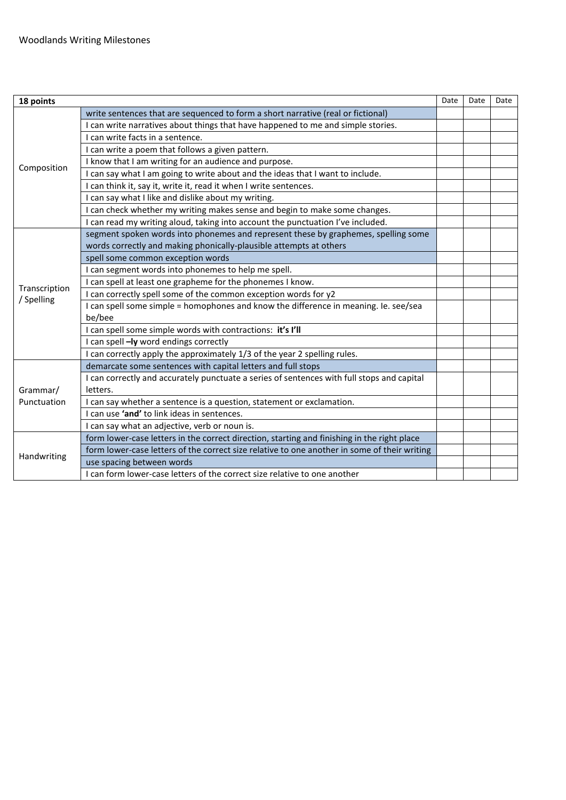| 18 points                   |                                                                                              | Date | Date | Date |
|-----------------------------|----------------------------------------------------------------------------------------------|------|------|------|
|                             | write sentences that are sequenced to form a short narrative (real or fictional)             |      |      |      |
|                             | I can write narratives about things that have happened to me and simple stories.             |      |      |      |
|                             | I can write facts in a sentence.                                                             |      |      |      |
|                             | I can write a poem that follows a given pattern.                                             |      |      |      |
|                             | I know that I am writing for an audience and purpose.                                        |      |      |      |
| Composition                 | I can say what I am going to write about and the ideas that I want to include.               |      |      |      |
|                             | I can think it, say it, write it, read it when I write sentences.                            |      |      |      |
|                             | I can say what I like and dislike about my writing.                                          |      |      |      |
|                             | I can check whether my writing makes sense and begin to make some changes.                   |      |      |      |
|                             | I can read my writing aloud, taking into account the punctuation I've included.              |      |      |      |
|                             | segment spoken words into phonemes and represent these by graphemes, spelling some           |      |      |      |
|                             | words correctly and making phonically-plausible attempts at others                           |      |      |      |
|                             | spell some common exception words                                                            |      |      |      |
|                             | I can segment words into phonemes to help me spell.                                          |      |      |      |
|                             | I can spell at least one grapheme for the phonemes I know.                                   |      |      |      |
| Transcription<br>/ Spelling | I can correctly spell some of the common exception words for y2                              |      |      |      |
|                             | I can spell some simple = homophones and know the difference in meaning. Ie. see/sea         |      |      |      |
|                             | be/bee                                                                                       |      |      |      |
|                             | I can spell some simple words with contractions: it's I'll                                   |      |      |      |
|                             | I can spell -ly word endings correctly                                                       |      |      |      |
|                             | I can correctly apply the approximately 1/3 of the year 2 spelling rules.                    |      |      |      |
|                             | demarcate some sentences with capital letters and full stops                                 |      |      |      |
|                             | I can correctly and accurately punctuate a series of sentences with full stops and capital   |      |      |      |
| Grammar/                    | letters.                                                                                     |      |      |      |
| Punctuation                 | I can say whether a sentence is a question, statement or exclamation.                        |      |      |      |
|                             | I can use <b>'and'</b> to link ideas in sentences.                                           |      |      |      |
|                             | I can say what an adjective, verb or noun is.                                                |      |      |      |
|                             | form lower-case letters in the correct direction, starting and finishing in the right place  |      |      |      |
| Handwriting                 | form lower-case letters of the correct size relative to one another in some of their writing |      |      |      |
|                             | use spacing between words                                                                    |      |      |      |
|                             | I can form lower-case letters of the correct size relative to one another                    |      |      |      |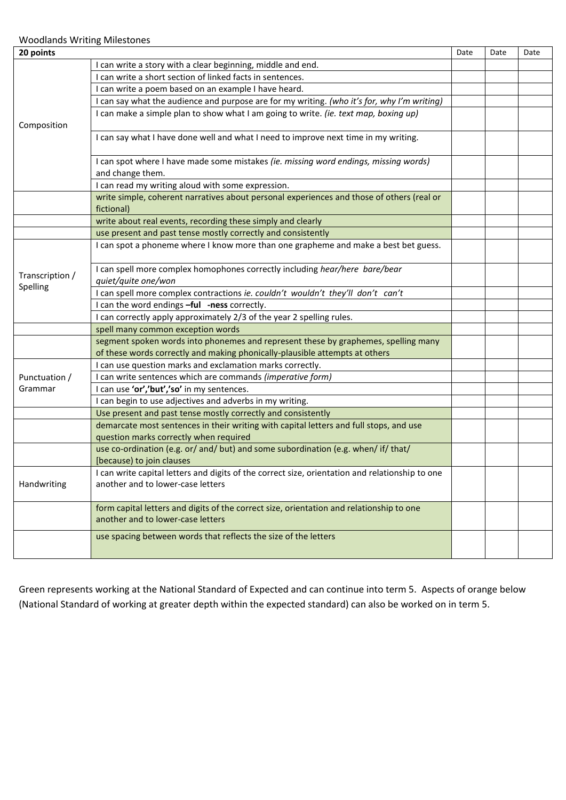| 20 points                   |                                                                                                                                      | Date | Date | Date |
|-----------------------------|--------------------------------------------------------------------------------------------------------------------------------------|------|------|------|
|                             | I can write a story with a clear beginning, middle and end.                                                                          |      |      |      |
|                             | I can write a short section of linked facts in sentences.                                                                            |      |      |      |
| Composition                 | I can write a poem based on an example I have heard.                                                                                 |      |      |      |
|                             | I can say what the audience and purpose are for my writing. (who it's for, why I'm writing)                                          |      |      |      |
|                             | I can make a simple plan to show what I am going to write. (ie. text map, boxing up)                                                 |      |      |      |
|                             | I can say what I have done well and what I need to improve next time in my writing.                                                  |      |      |      |
|                             | I can spot where I have made some mistakes (ie. missing word endings, missing words)                                                 |      |      |      |
|                             | and change them.                                                                                                                     |      |      |      |
|                             | I can read my writing aloud with some expression.                                                                                    |      |      |      |
|                             | write simple, coherent narratives about personal experiences and those of others (real or<br>fictional)                              |      |      |      |
|                             | write about real events, recording these simply and clearly                                                                          |      |      |      |
|                             | use present and past tense mostly correctly and consistently                                                                         |      |      |      |
|                             | I can spot a phoneme where I know more than one grapheme and make a best bet guess.                                                  |      |      |      |
|                             | I can spell more complex homophones correctly including hear/here bare/bear                                                          |      |      |      |
| Transcription /<br>Spelling | quiet/quite one/won                                                                                                                  |      |      |      |
|                             | I can spell more complex contractions ie. couldn't wouldn't they'll don't can't                                                      |      |      |      |
|                             | I can the word endings -ful -ness correctly.                                                                                         |      |      |      |
|                             | I can correctly apply approximately 2/3 of the year 2 spelling rules.                                                                |      |      |      |
|                             | spell many common exception words                                                                                                    |      |      |      |
|                             | segment spoken words into phonemes and represent these by graphemes, spelling many                                                   |      |      |      |
|                             | of these words correctly and making phonically-plausible attempts at others                                                          |      |      |      |
|                             | I can use question marks and exclamation marks correctly.                                                                            |      |      |      |
| Punctuation /               | I can write sentences which are commands (imperative form)                                                                           |      |      |      |
| Grammar                     | I can use 'or','but','so' in my sentences.                                                                                           |      |      |      |
|                             | I can begin to use adjectives and adverbs in my writing.                                                                             |      |      |      |
|                             | Use present and past tense mostly correctly and consistently                                                                         |      |      |      |
|                             | demarcate most sentences in their writing with capital letters and full stops, and use                                               |      |      |      |
|                             | question marks correctly when required                                                                                               |      |      |      |
|                             | use co-ordination (e.g. or/ and/ but) and some subordination (e.g. when/ if/ that/                                                   |      |      |      |
|                             | [because] to join clauses                                                                                                            |      |      |      |
| Handwriting                 | I can write capital letters and digits of the correct size, orientation and relationship to one<br>another and to lower-case letters |      |      |      |
|                             | form capital letters and digits of the correct size, orientation and relationship to one<br>another and to lower-case letters        |      |      |      |
|                             | use spacing between words that reflects the size of the letters                                                                      |      |      |      |

Green represents working at the National Standard of Expected and can continue into term 5. Aspects of orange below (National Standard of working at greater depth within the expected standard) can also be worked on in term 5.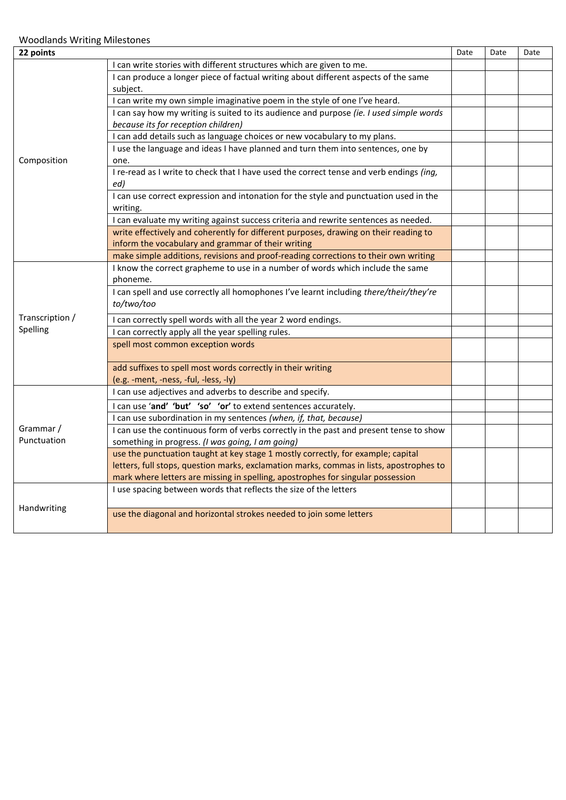| 22 points       |                                                                                         | Date | Date | Date |
|-----------------|-----------------------------------------------------------------------------------------|------|------|------|
|                 | I can write stories with different structures which are given to me.                    |      |      |      |
|                 | I can produce a longer piece of factual writing about different aspects of the same     |      |      |      |
|                 | subject.                                                                                |      |      |      |
|                 | I can write my own simple imaginative poem in the style of one I've heard.              |      |      |      |
|                 | I can say how my writing is suited to its audience and purpose (ie. I used simple words |      |      |      |
|                 | because its for reception children)                                                     |      |      |      |
|                 | I can add details such as language choices or new vocabulary to my plans.               |      |      |      |
|                 | I use the language and ideas I have planned and turn them into sentences, one by        |      |      |      |
| Composition     | one.                                                                                    |      |      |      |
|                 | I re-read as I write to check that I have used the correct tense and verb endings (ing, |      |      |      |
|                 | ed)                                                                                     |      |      |      |
|                 | I can use correct expression and intonation for the style and punctuation used in the   |      |      |      |
|                 | writing.                                                                                |      |      |      |
|                 | I can evaluate my writing against success criteria and rewrite sentences as needed.     |      |      |      |
|                 | write effectively and coherently for different purposes, drawing on their reading to    |      |      |      |
|                 | inform the vocabulary and grammar of their writing                                      |      |      |      |
|                 | make simple additions, revisions and proof-reading corrections to their own writing     |      |      |      |
|                 | I know the correct grapheme to use in a number of words which include the same          |      |      |      |
|                 | phoneme.                                                                                |      |      |      |
|                 | I can spell and use correctly all homophones I've learnt including there/their/they're  |      |      |      |
|                 | to/two/too                                                                              |      |      |      |
| Transcription / | I can correctly spell words with all the year 2 word endings.                           |      |      |      |
| Spelling        | I can correctly apply all the year spelling rules.                                      |      |      |      |
|                 | spell most common exception words                                                       |      |      |      |
|                 |                                                                                         |      |      |      |
|                 | add suffixes to spell most words correctly in their writing                             |      |      |      |
|                 | (e.g. -ment, -ness, -ful, -less, -ly)                                                   |      |      |      |
|                 | I can use adjectives and adverbs to describe and specify.                               |      |      |      |
|                 | I can use 'and' 'but' 'so' 'or' to extend sentences accurately.                         |      |      |      |
|                 | I can use subordination in my sentences (when, if, that, because)                       |      |      |      |
| Grammar /       | I can use the continuous form of verbs correctly in the past and present tense to show  |      |      |      |
| Punctuation     | something in progress. (I was going, I am going)                                        |      |      |      |
|                 | use the punctuation taught at key stage 1 mostly correctly, for example; capital        |      |      |      |
|                 | letters, full stops, question marks, exclamation marks, commas in lists, apostrophes to |      |      |      |
|                 | mark where letters are missing in spelling, apostrophes for singular possession         |      |      |      |
|                 | I use spacing between words that reflects the size of the letters                       |      |      |      |
|                 |                                                                                         |      |      |      |
| Handwriting     | use the diagonal and horizontal strokes needed to join some letters                     |      |      |      |
|                 |                                                                                         |      |      |      |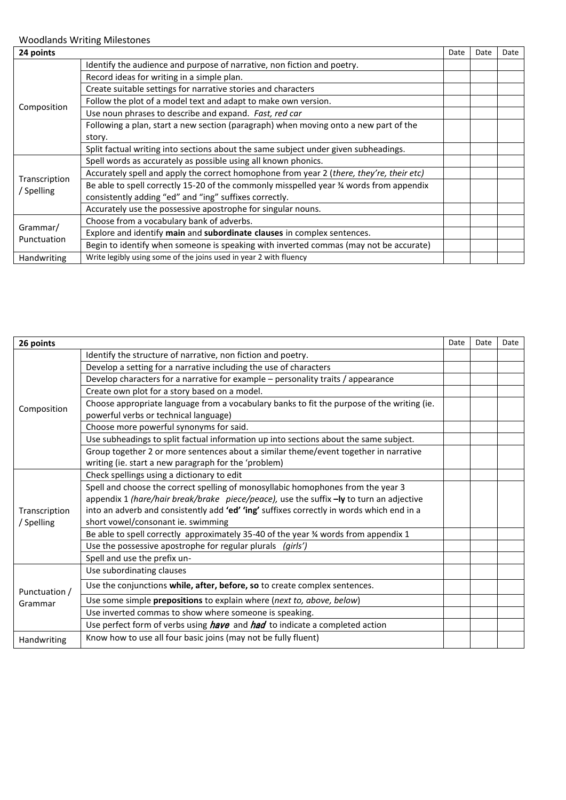| 24 points               |                                                                                          | Date | Date | Date |
|-------------------------|------------------------------------------------------------------------------------------|------|------|------|
|                         | Identify the audience and purpose of narrative, non fiction and poetry.                  |      |      |      |
|                         | Record ideas for writing in a simple plan.                                               |      |      |      |
|                         | Create suitable settings for narrative stories and characters                            |      |      |      |
|                         | Follow the plot of a model text and adapt to make own version.                           |      |      |      |
| Composition             | Use noun phrases to describe and expand. Fast, red car                                   |      |      |      |
|                         | Following a plan, start a new section (paragraph) when moving onto a new part of the     |      |      |      |
|                         | story.                                                                                   |      |      |      |
|                         | Split factual writing into sections about the same subject under given subheadings.      |      |      |      |
|                         | Spell words as accurately as possible using all known phonics.                           |      |      |      |
| Transcription           | Accurately spell and apply the correct homophone from year 2 (there, they're, their etc) |      |      |      |
| / Spelling              | Be able to spell correctly 15-20 of the commonly misspelled year % words from appendix   |      |      |      |
|                         | consistently adding "ed" and "ing" suffixes correctly.                                   |      |      |      |
|                         | Accurately use the possessive apostrophe for singular nouns.                             |      |      |      |
|                         | Choose from a vocabulary bank of adverbs.                                                |      |      |      |
| Grammar/<br>Punctuation | Explore and identify main and subordinate clauses in complex sentences.                  |      |      |      |
|                         | Begin to identify when someone is speaking with inverted commas (may not be accurate)    |      |      |      |
| <b>Handwriting</b>      | Write legibly using some of the joins used in year 2 with fluency                        |      |      |      |

| 26 points     |                                                                                            | Date | Date | Date |
|---------------|--------------------------------------------------------------------------------------------|------|------|------|
|               | Identify the structure of narrative, non fiction and poetry.                               |      |      |      |
|               | Develop a setting for a narrative including the use of characters                          |      |      |      |
|               | Develop characters for a narrative for example - personality traits / appearance           |      |      |      |
|               | Create own plot for a story based on a model.                                              |      |      |      |
| Composition   | Choose appropriate language from a vocabulary banks to fit the purpose of the writing (ie. |      |      |      |
|               | powerful verbs or technical language)                                                      |      |      |      |
|               | Choose more powerful synonyms for said.                                                    |      |      |      |
|               | Use subheadings to split factual information up into sections about the same subject.      |      |      |      |
|               | Group together 2 or more sentences about a similar theme/event together in narrative       |      |      |      |
|               | writing (ie. start a new paragraph for the 'problem)                                       |      |      |      |
|               | Check spellings using a dictionary to edit                                                 |      |      |      |
|               | Spell and choose the correct spelling of monosyllabic homophones from the year 3           |      |      |      |
|               | appendix 1 (hare/hair break/brake piece/peace), use the suffix -ly to turn an adjective    |      |      |      |
| Transcription | into an adverb and consistently add 'ed' 'ing' suffixes correctly in words which end in a  |      |      |      |
| / Spelling    | short vowel/consonant ie. swimming                                                         |      |      |      |
|               | Be able to spell correctly approximately 35-40 of the year 3⁄4 words from appendix 1       |      |      |      |
|               | Use the possessive apostrophe for regular plurals (girls')                                 |      |      |      |
|               | Spell and use the prefix un-                                                               |      |      |      |
|               | Use subordinating clauses                                                                  |      |      |      |
| Punctuation / | Use the conjunctions while, after, before, so to create complex sentences.                 |      |      |      |
| Grammar       | Use some simple prepositions to explain where (next to, above, below)                      |      |      |      |
|               | Use inverted commas to show where someone is speaking.                                     |      |      |      |
|               | Use perfect form of verbs using <i>have</i> and <i>had</i> to indicate a completed action  |      |      |      |
| Handwriting   | Know how to use all four basic joins (may not be fully fluent)                             |      |      |      |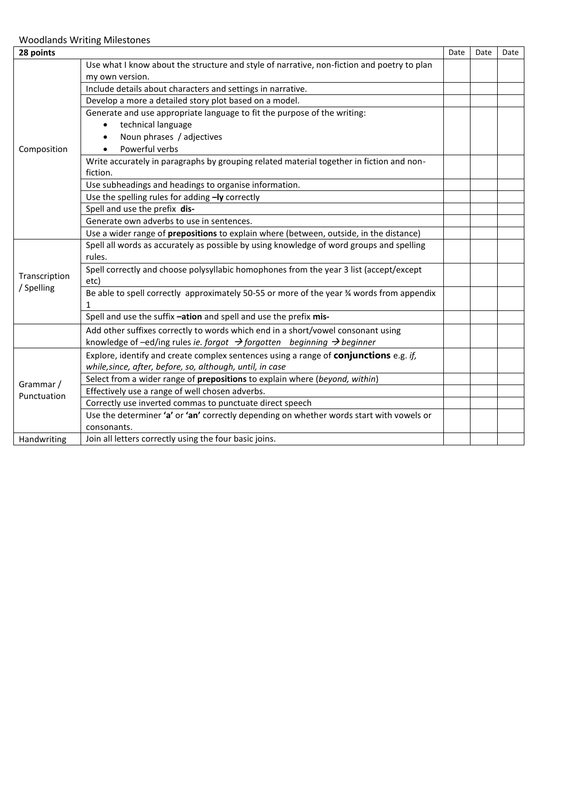| 28 points                   |                                                                                                | Date | Date | Date |
|-----------------------------|------------------------------------------------------------------------------------------------|------|------|------|
|                             | Use what I know about the structure and style of narrative, non-fiction and poetry to plan     |      |      |      |
|                             | my own version.                                                                                |      |      |      |
|                             | Include details about characters and settings in narrative.                                    |      |      |      |
|                             | Develop a more a detailed story plot based on a model.                                         |      |      |      |
|                             | Generate and use appropriate language to fit the purpose of the writing:                       |      |      |      |
|                             | technical language<br>$\bullet$                                                                |      |      |      |
|                             | Noun phrases / adjectives                                                                      |      |      |      |
| Composition                 | Powerful verbs                                                                                 |      |      |      |
|                             | Write accurately in paragraphs by grouping related material together in fiction and non-       |      |      |      |
|                             | fiction.                                                                                       |      |      |      |
|                             | Use subheadings and headings to organise information.                                          |      |      |      |
|                             | Use the spelling rules for adding -ly correctly                                                |      |      |      |
|                             | Spell and use the prefix dis-                                                                  |      |      |      |
|                             | Generate own adverbs to use in sentences.                                                      |      |      |      |
|                             | Use a wider range of prepositions to explain where (between, outside, in the distance)         |      |      |      |
|                             | Spell all words as accurately as possible by using knowledge of word groups and spelling       |      |      |      |
|                             | rules.                                                                                         |      |      |      |
|                             | Spell correctly and choose polysyllabic homophones from the year 3 list (accept/except         |      |      |      |
| Transcription<br>/ Spelling | etc)                                                                                           |      |      |      |
|                             | Be able to spell correctly approximately 50-55 or more of the year 34 words from appendix      |      |      |      |
|                             | $\mathbf{1}$                                                                                   |      |      |      |
|                             | Spell and use the suffix -ation and spell and use the prefix mis-                              |      |      |      |
|                             | Add other suffixes correctly to words which end in a short/vowel consonant using               |      |      |      |
|                             | knowledge of -ed/ing rules ie. forgot $\rightarrow$ forgotten beginning $\rightarrow$ beginner |      |      |      |
|                             | Explore, identify and create complex sentences using a range of conjunctions e.g. if,          |      |      |      |
|                             | while, since, after, before, so, although, until, in case                                      |      |      |      |
| Grammar /                   | Select from a wider range of prepositions to explain where (beyond, within)                    |      |      |      |
| Punctuation                 | Effectively use a range of well chosen adverbs.                                                |      |      |      |
|                             | Correctly use inverted commas to punctuate direct speech                                       |      |      |      |
|                             | Use the determiner 'a' or 'an' correctly depending on whether words start with vowels or       |      |      |      |
|                             | consonants.                                                                                    |      |      |      |
| Handwriting                 | Join all letters correctly using the four basic joins.                                         |      |      |      |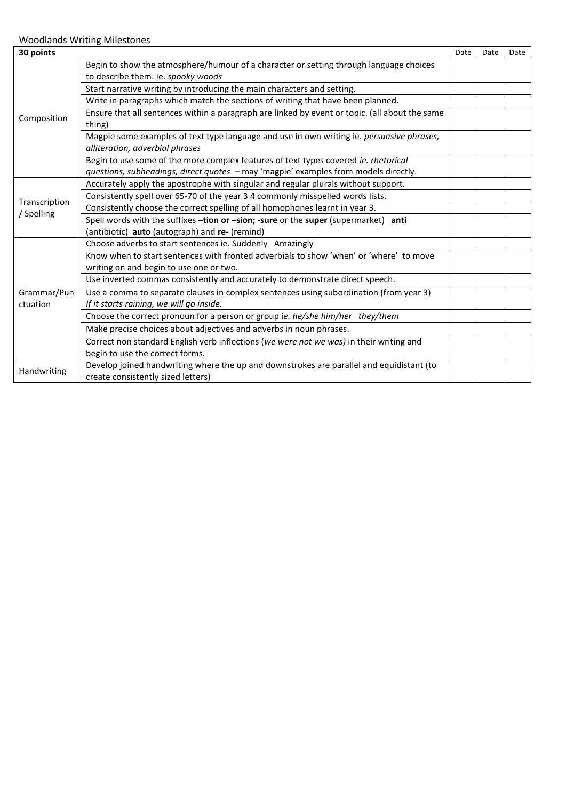| 30 points     |                                                                                                | Date | Date | Date |
|---------------|------------------------------------------------------------------------------------------------|------|------|------|
|               | Begin to show the atmosphere/humour of a character or setting through language choices         |      |      |      |
|               | to describe them. Ie. spooky woods                                                             |      |      |      |
|               | Start narrative writing by introducing the main characters and setting.                        |      |      |      |
|               | Write in paragraphs which match the sections of writing that have been planned.                |      |      |      |
| Composition   | Ensure that all sentences within a paragraph are linked by event or topic. (all about the same |      |      |      |
|               | thing)                                                                                         |      |      |      |
|               | Magpie some examples of text type language and use in own writing ie. persuasive phrases,      |      |      |      |
|               | alliteration, adverbial phrases                                                                |      |      |      |
|               | Begin to use some of the more complex features of text types covered ie. rhetorical            |      |      |      |
|               | questions, subheadings, direct quotes - may 'magpie' examples from models directly.            |      |      |      |
| Transcription | Accurately apply the apostrophe with singular and regular plurals without support.             |      |      |      |
|               | Consistently spell over 65-70 of the year 3 4 commonly misspelled words lists.                 |      |      |      |
|               | Consistently choose the correct spelling of all homophones learnt in year 3.                   |      |      |      |
| / Spelling    | Spell words with the suffixes -tion or -sion; -sure or the super (supermarket) anti            |      |      |      |
|               | (antibiotic) auto (autograph) and re- (remind)                                                 |      |      |      |
|               | Choose adverbs to start sentences ie. Suddenly Amazingly                                       |      |      |      |
|               | Know when to start sentences with fronted adverbials to show 'when' or 'where' to move         |      |      |      |
|               | writing on and begin to use one or two.                                                        |      |      |      |
|               | Use inverted commas consistently and accurately to demonstrate direct speech.                  |      |      |      |
| Grammar/Pun   | Use a comma to separate clauses in complex sentences using subordination (from year 3)         |      |      |      |
| ctuation      | If it starts raining, we will go inside.                                                       |      |      |      |
|               | Choose the correct pronoun for a person or group ie. he/she him/her they/them                  |      |      |      |
|               | Make precise choices about adjectives and adverbs in noun phrases.                             |      |      |      |
|               | Correct non standard English verb inflections (we were not we was) in their writing and        |      |      |      |
|               | begin to use the correct forms.                                                                |      |      |      |
|               | Develop joined handwriting where the up and downstrokes are parallel and equidistant (to       |      |      |      |
| Handwriting   | create consistently sized letters)                                                             |      |      |      |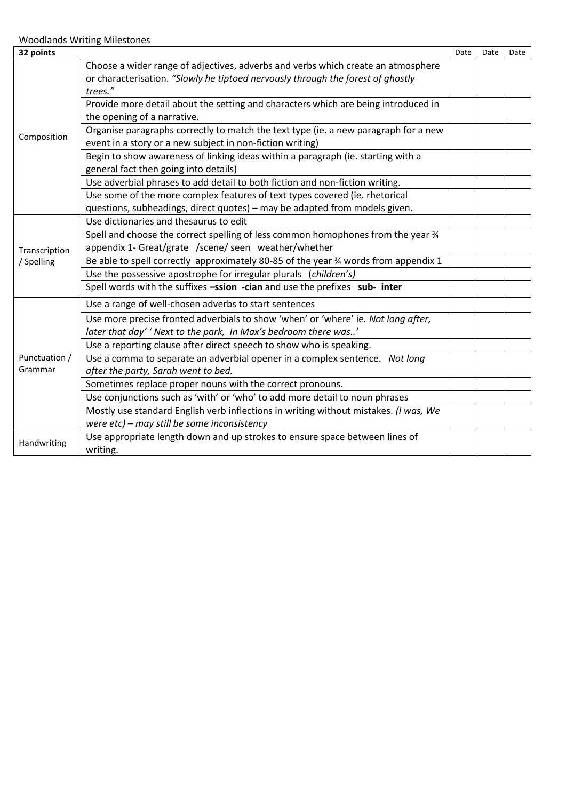| 32 points     |                                                                                      | Date | Date | Date |
|---------------|--------------------------------------------------------------------------------------|------|------|------|
|               | Choose a wider range of adjectives, adverbs and verbs which create an atmosphere     |      |      |      |
|               | or characterisation. "Slowly he tiptoed nervously through the forest of ghostly      |      |      |      |
|               | trees."                                                                              |      |      |      |
|               | Provide more detail about the setting and characters which are being introduced in   |      |      |      |
|               | the opening of a narrative.                                                          |      |      |      |
| Composition   | Organise paragraphs correctly to match the text type (ie. a new paragraph for a new  |      |      |      |
|               | event in a story or a new subject in non-fiction writing)                            |      |      |      |
|               | Begin to show awareness of linking ideas within a paragraph (ie. starting with a     |      |      |      |
|               | general fact then going into details)                                                |      |      |      |
|               | Use adverbial phrases to add detail to both fiction and non-fiction writing.         |      |      |      |
|               | Use some of the more complex features of text types covered (ie. rhetorical          |      |      |      |
|               | questions, subheadings, direct quotes) - may be adapted from models given.           |      |      |      |
|               | Use dictionaries and thesaurus to edit                                               |      |      |      |
|               | Spell and choose the correct spelling of less common homophones from the year 34     |      |      |      |
| Transcription | appendix 1- Great/grate /scene/ seen weather/whether                                 |      |      |      |
| / Spelling    | Be able to spell correctly approximately 80-85 of the year 34 words from appendix 1  |      |      |      |
|               | Use the possessive apostrophe for irregular plurals (children's)                     |      |      |      |
|               | Spell words with the suffixes -ssion -cian and use the prefixes sub- inter           |      |      |      |
|               | Use a range of well-chosen adverbs to start sentences                                |      |      |      |
|               | Use more precise fronted adverbials to show 'when' or 'where' ie. Not long after,    |      |      |      |
|               | later that day' 'Next to the park, In Max's bedroom there was'                       |      |      |      |
|               | Use a reporting clause after direct speech to show who is speaking.                  |      |      |      |
| Punctuation / | Use a comma to separate an adverbial opener in a complex sentence. Not long          |      |      |      |
| Grammar       | after the party, Sarah went to bed.                                                  |      |      |      |
|               | Sometimes replace proper nouns with the correct pronouns.                            |      |      |      |
|               | Use conjunctions such as 'with' or 'who' to add more detail to noun phrases          |      |      |      |
|               | Mostly use standard English verb inflections in writing without mistakes. (I was, We |      |      |      |
|               | were etc) - may still be some inconsistency                                          |      |      |      |
| Handwriting   | Use appropriate length down and up strokes to ensure space between lines of          |      |      |      |
|               | writing.                                                                             |      |      |      |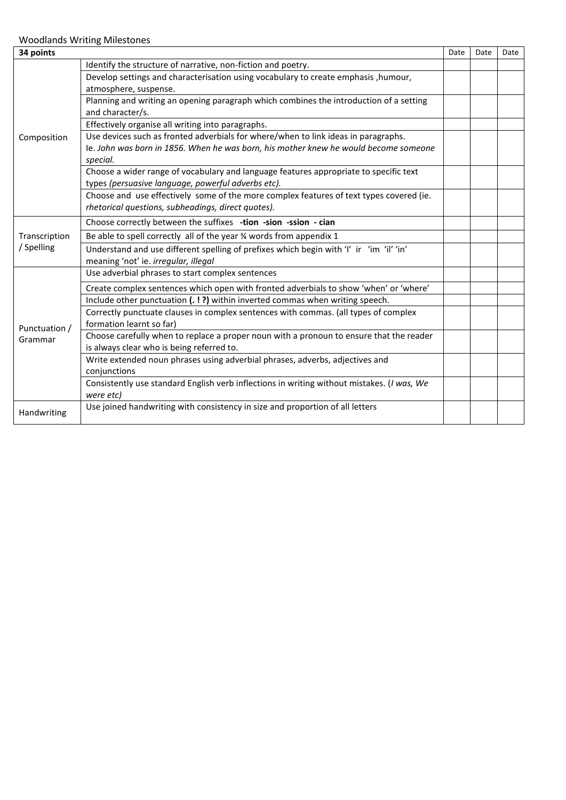| 34 points     |                                                                                                  | Date | Date | Date |
|---------------|--------------------------------------------------------------------------------------------------|------|------|------|
|               | Identify the structure of narrative, non-fiction and poetry.                                     |      |      |      |
|               | Develop settings and characterisation using vocabulary to create emphasis, humour,               |      |      |      |
|               | atmosphere, suspense.                                                                            |      |      |      |
|               | Planning and writing an opening paragraph which combines the introduction of a setting           |      |      |      |
|               | and character/s.                                                                                 |      |      |      |
|               | Effectively organise all writing into paragraphs.                                                |      |      |      |
| Composition   | Use devices such as fronted adverbials for where/when to link ideas in paragraphs.               |      |      |      |
|               | le. John was born in 1856. When he was born, his mother knew he would become someone<br>special. |      |      |      |
|               | Choose a wider range of vocabulary and language features appropriate to specific text            |      |      |      |
|               | types (persuasive language, powerful adverbs etc).                                               |      |      |      |
|               | Choose and use effectively some of the more complex features of text types covered (ie.          |      |      |      |
|               | rhetorical questions, subheadings, direct quotes).                                               |      |      |      |
|               | Choose correctly between the suffixes -tion -sion -ssion - cian                                  |      |      |      |
| Transcription | Be able to spell correctly all of the year % words from appendix 1                               |      |      |      |
| / Spelling    | Understand and use different spelling of prefixes which begin with 'I' ir 'im 'il' 'in'          |      |      |      |
|               | meaning 'not' ie. irregular, illegal                                                             |      |      |      |
|               | Use adverbial phrases to start complex sentences                                                 |      |      |      |
|               | Create complex sentences which open with fronted adverbials to show 'when' or 'where'            |      |      |      |
|               | Include other punctuation (.!?) within inverted commas when writing speech.                      |      |      |      |
|               | Correctly punctuate clauses in complex sentences with commas. (all types of complex              |      |      |      |
| Punctuation / | formation learnt so far)                                                                         |      |      |      |
| Grammar       | Choose carefully when to replace a proper noun with a pronoun to ensure that the reader          |      |      |      |
|               | is always clear who is being referred to.                                                        |      |      |      |
|               | Write extended noun phrases using adverbial phrases, adverbs, adjectives and                     |      |      |      |
|               | conjunctions                                                                                     |      |      |      |
|               | Consistently use standard English verb inflections in writing without mistakes. (I was, We       |      |      |      |
|               | were etc)                                                                                        |      |      |      |
| Handwriting   | Use joined handwriting with consistency in size and proportion of all letters                    |      |      |      |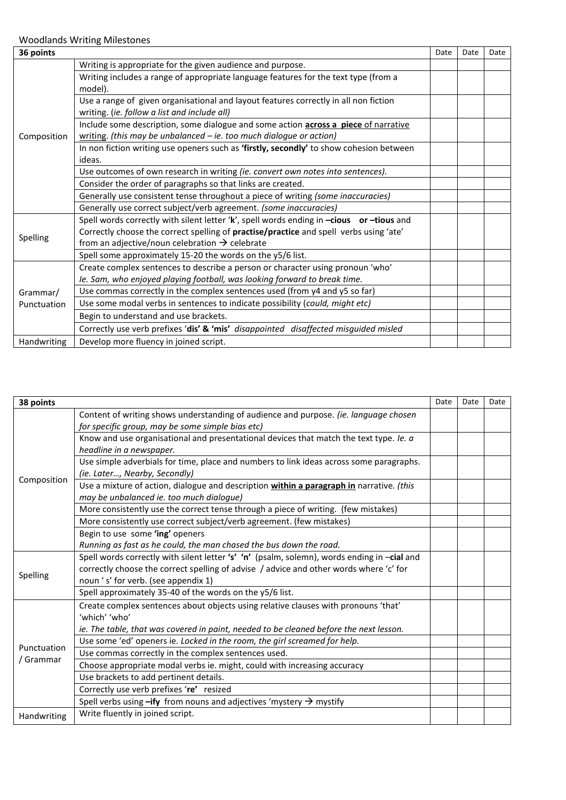| 36 points               |                                                                                          | Date | Date | Date |
|-------------------------|------------------------------------------------------------------------------------------|------|------|------|
|                         | Writing is appropriate for the given audience and purpose.                               |      |      |      |
|                         | Writing includes a range of appropriate language features for the text type (from a      |      |      |      |
|                         | model).                                                                                  |      |      |      |
|                         | Use a range of given organisational and layout features correctly in all non fiction     |      |      |      |
|                         | writing. (ie. follow a list and include all)                                             |      |      |      |
|                         | Include some description, some dialogue and some action across a piece of narrative      |      |      |      |
| Composition             | writing. (this may be unbalanced $-$ ie. too much dialogue or action)                    |      |      |      |
|                         | In non fiction writing use openers such as 'firstly, secondly' to show cohesion between  |      |      |      |
|                         | ideas.                                                                                   |      |      |      |
|                         | Use outcomes of own research in writing (ie. convert own notes into sentences).          |      |      |      |
|                         | Consider the order of paragraphs so that links are created.                              |      |      |      |
|                         | Generally use consistent tense throughout a piece of writing (some inaccuracies)         |      |      |      |
|                         | Generally use correct subject/verb agreement. (some inaccuracies)                        |      |      |      |
|                         | Spell words correctly with silent letter 'k', spell words ending in -cious or -tious and |      |      |      |
| Spelling                | Correctly choose the correct spelling of practise/practice and spell verbs using 'ate'   |      |      |      |
|                         | from an adjective/noun celebration $\rightarrow$ celebrate                               |      |      |      |
|                         | Spell some approximately 15-20 the words on the y5/6 list.                               |      |      |      |
|                         | Create complex sentences to describe a person or character using pronoun 'who'           |      |      |      |
|                         | Ie. Sam, who enjoyed playing football, was looking forward to break time.                |      |      |      |
| Grammar/<br>Punctuation | Use commas correctly in the complex sentences used (from y4 and y5 so far)               |      |      |      |
|                         | Use some modal verbs in sentences to indicate possibility (could, might etc)             |      |      |      |
|                         | Begin to understand and use brackets.                                                    |      |      |      |
|                         | Correctly use verb prefixes 'dis' & 'mis' disappointed disaffected misguided misled      |      |      |      |
| Handwriting             | Develop more fluency in joined script.                                                   |      |      |      |

| 38 points<br>Date |                                                                                             |  | Date | Date |
|-------------------|---------------------------------------------------------------------------------------------|--|------|------|
|                   | Content of writing shows understanding of audience and purpose. (ie. language chosen        |  |      |      |
|                   | for specific group, may be some simple bias etc)                                            |  |      |      |
|                   | Know and use organisational and presentational devices that match the text type. Ie. a      |  |      |      |
|                   | headline in a newspaper.                                                                    |  |      |      |
|                   | Use simple adverbials for time, place and numbers to link ideas across some paragraphs.     |  |      |      |
| Composition       | (ie. Later, Nearby, Secondly)                                                               |  |      |      |
|                   | Use a mixture of action, dialogue and description within a paragraph in narrative. (this    |  |      |      |
|                   | may be unbalanced ie. too much dialogue)                                                    |  |      |      |
|                   | More consistently use the correct tense through a piece of writing. (few mistakes)          |  |      |      |
|                   | More consistently use correct subject/verb agreement. (few mistakes)                        |  |      |      |
|                   | Begin to use some 'ing' openers                                                             |  |      |      |
|                   | Running as fast as he could, the man chased the bus down the road.                          |  |      |      |
|                   | Spell words correctly with silent letter 's' 'n' (psalm, solemn), words ending in -cial and |  |      |      |
|                   | correctly choose the correct spelling of advise / advice and other words where 'c' for      |  |      |      |
| Spelling          | noun 's' for verb. (see appendix 1)                                                         |  |      |      |
|                   | Spell approximately 35-40 of the words on the y5/6 list.                                    |  |      |      |
|                   | Create complex sentences about objects using relative clauses with pronouns 'that'          |  |      |      |
|                   | 'which' 'who'                                                                               |  |      |      |
|                   | ie. The table, that was covered in paint, needed to be cleaned before the next lesson.      |  |      |      |
|                   | Use some 'ed' openers ie. Locked in the room, the girl screamed for help.                   |  |      |      |
| Punctuation       | Use commas correctly in the complex sentences used.                                         |  |      |      |
| / Grammar         | Choose appropriate modal verbs ie. might, could with increasing accuracy                    |  |      |      |
|                   | Use brackets to add pertinent details.                                                      |  |      |      |
|                   | Correctly use verb prefixes 're' resized                                                    |  |      |      |
|                   | Spell verbs using $-$ ify from nouns and adjectives 'mystery $\rightarrow$ mystify          |  |      |      |
| Handwriting       | Write fluently in joined script.                                                            |  |      |      |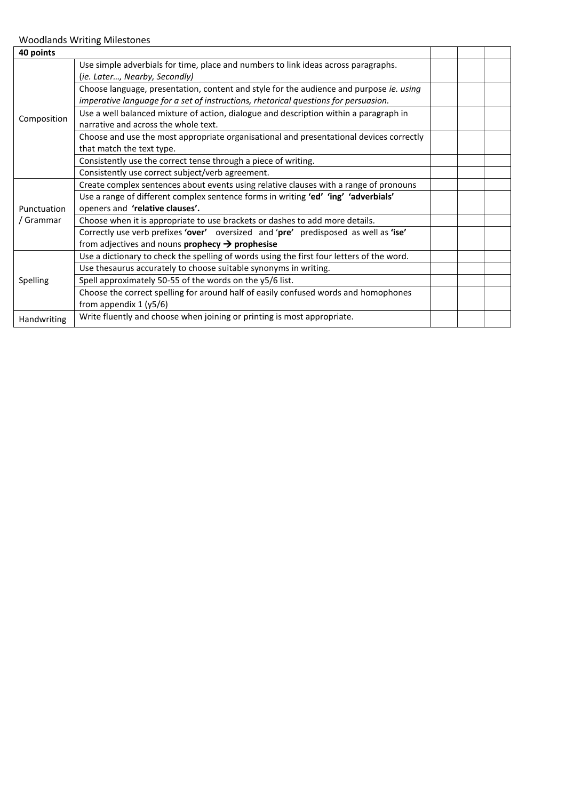| 40 points   |                                                                                           |  |  |
|-------------|-------------------------------------------------------------------------------------------|--|--|
|             | Use simple adverbials for time, place and numbers to link ideas across paragraphs.        |  |  |
|             | (ie. Later, Nearby, Secondly)                                                             |  |  |
|             | Choose language, presentation, content and style for the audience and purpose ie. using   |  |  |
|             | imperative language for a set of instructions, rhetorical questions for persuasion.       |  |  |
| Composition | Use a well balanced mixture of action, dialogue and description within a paragraph in     |  |  |
|             | narrative and across the whole text.                                                      |  |  |
|             | Choose and use the most appropriate organisational and presentational devices correctly   |  |  |
|             | that match the text type.                                                                 |  |  |
|             | Consistently use the correct tense through a piece of writing.                            |  |  |
|             | Consistently use correct subject/verb agreement.                                          |  |  |
|             | Create complex sentences about events using relative clauses with a range of pronouns     |  |  |
|             | Use a range of different complex sentence forms in writing 'ed' 'ing' 'adverbials'        |  |  |
| Punctuation | openers and 'relative clauses'.                                                           |  |  |
| / Grammar   | Choose when it is appropriate to use brackets or dashes to add more details.              |  |  |
|             | Correctly use verb prefixes 'over' oversized and 'pre' predisposed as well as 'ise'       |  |  |
|             | from adjectives and nouns <b>prophecy</b> $\rightarrow$ <b>prophesise</b>                 |  |  |
|             | Use a dictionary to check the spelling of words using the first four letters of the word. |  |  |
|             | Use thesaurus accurately to choose suitable synonyms in writing.                          |  |  |
| Spelling    | Spell approximately 50-55 of the words on the y5/6 list.                                  |  |  |
|             | Choose the correct spelling for around half of easily confused words and homophones       |  |  |
|             | from appendix 1 (y5/6)                                                                    |  |  |
| Handwriting | Write fluently and choose when joining or printing is most appropriate.                   |  |  |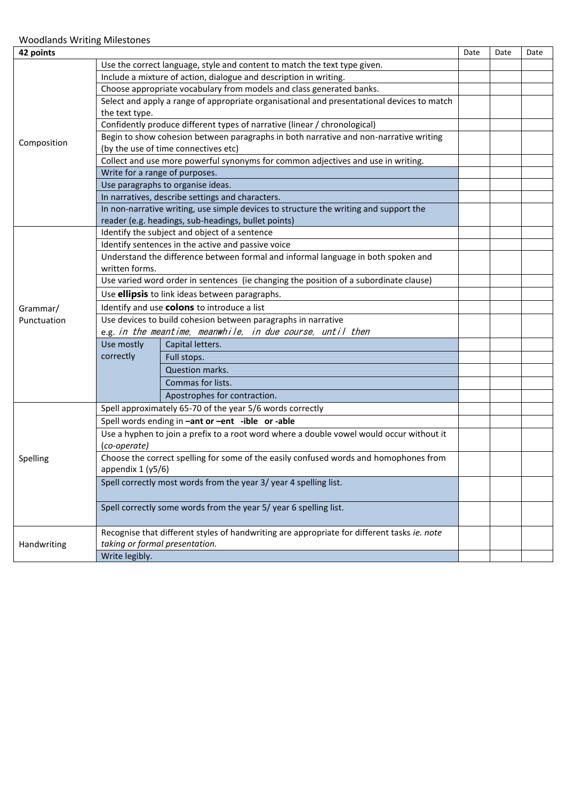| 42 points   |                                                                                          |                                                                                             |  |  | Date |
|-------------|------------------------------------------------------------------------------------------|---------------------------------------------------------------------------------------------|--|--|------|
|             |                                                                                          | Use the correct language, style and content to match the text type given.                   |  |  |      |
|             |                                                                                          | Include a mixture of action, dialogue and description in writing.                           |  |  |      |
|             |                                                                                          | Choose appropriate vocabulary from models and class generated banks.                        |  |  |      |
|             |                                                                                          | Select and apply a range of appropriate organisational and presentational devices to match  |  |  |      |
|             | the text type.                                                                           |                                                                                             |  |  |      |
|             |                                                                                          | Confidently produce different types of narrative (linear / chronological)                   |  |  |      |
| Composition |                                                                                          | Begin to show cohesion between paragraphs in both narrative and non-narrative writing       |  |  |      |
|             | (by the use of time connectives etc)                                                     |                                                                                             |  |  |      |
|             | Collect and use more powerful synonyms for common adjectives and use in writing.         |                                                                                             |  |  |      |
|             | Write for a range of purposes.                                                           |                                                                                             |  |  |      |
|             |                                                                                          | Use paragraphs to organise ideas.                                                           |  |  |      |
|             |                                                                                          | In narratives, describe settings and characters.                                            |  |  |      |
|             |                                                                                          | In non-narrative writing, use simple devices to structure the writing and support the       |  |  |      |
|             |                                                                                          | reader (e.g. headings, sub-headings, bullet points)                                         |  |  |      |
|             |                                                                                          | Identify the subject and object of a sentence                                               |  |  |      |
|             |                                                                                          | Identify sentences in the active and passive voice                                          |  |  |      |
|             |                                                                                          | Understand the difference between formal and informal language in both spoken and           |  |  |      |
|             | written forms.                                                                           |                                                                                             |  |  |      |
|             | Use varied word order in sentences (ie changing the position of a subordinate clause)    |                                                                                             |  |  |      |
|             | Use ellipsis to link ideas between paragraphs.                                           |                                                                                             |  |  |      |
| Grammar/    | Identify and use colons to introduce a list                                              |                                                                                             |  |  |      |
| Punctuation | Use devices to build cohesion between paragraphs in narrative                            |                                                                                             |  |  |      |
|             |                                                                                          | e.g. in the meantime, meanwhile, in due course, until then                                  |  |  |      |
|             | Use mostly                                                                               | Capital letters.                                                                            |  |  |      |
|             | correctly                                                                                | Full stops.                                                                                 |  |  |      |
|             |                                                                                          | Question marks.                                                                             |  |  |      |
|             |                                                                                          | Commas for lists.                                                                           |  |  |      |
|             |                                                                                          | Apostrophes for contraction.                                                                |  |  |      |
|             |                                                                                          | Spell approximately 65-70 of the year 5/6 words correctly                                   |  |  |      |
|             |                                                                                          | Spell words ending in -ant or -ent -ible or -able                                           |  |  |      |
|             | Use a hyphen to join a prefix to a root word where a double vowel would occur without it |                                                                                             |  |  |      |
|             | (co-operate)                                                                             |                                                                                             |  |  |      |
| Spelling    | Choose the correct spelling for some of the easily confused words and homophones from    |                                                                                             |  |  |      |
|             | appendix $1(y5/6)$                                                                       |                                                                                             |  |  |      |
|             | Spell correctly most words from the year 3/ year 4 spelling list.                        |                                                                                             |  |  |      |
|             |                                                                                          |                                                                                             |  |  |      |
|             | Spell correctly some words from the year 5/ year 6 spelling list.                        |                                                                                             |  |  |      |
|             |                                                                                          |                                                                                             |  |  |      |
|             |                                                                                          | Recognise that different styles of handwriting are appropriate for different tasks ie. note |  |  |      |
| Handwriting | taking or formal presentation.                                                           |                                                                                             |  |  |      |
|             | Write legibly.                                                                           |                                                                                             |  |  |      |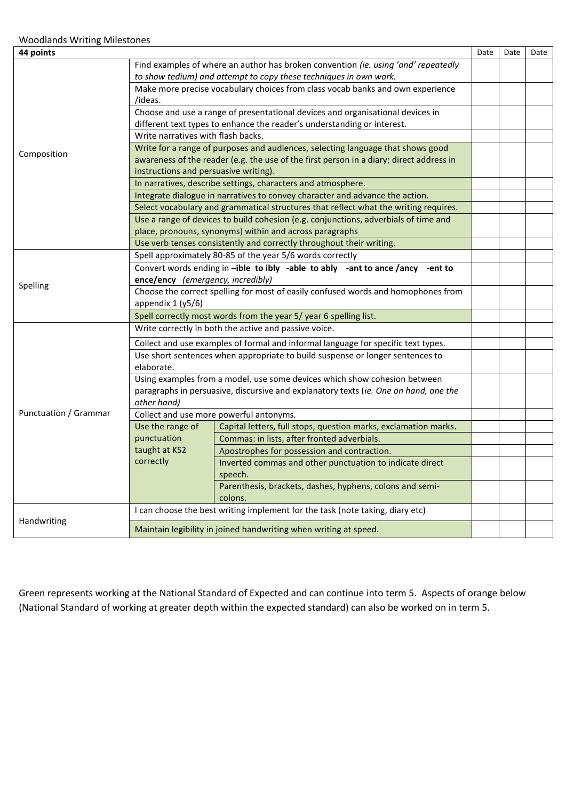| 44 points             |                                                                                                                                                                                  |                                                                                                                                                |  | Date | Date |
|-----------------------|----------------------------------------------------------------------------------------------------------------------------------------------------------------------------------|------------------------------------------------------------------------------------------------------------------------------------------------|--|------|------|
|                       |                                                                                                                                                                                  | Find examples of where an author has broken convention (ie. using 'and' repeatedly                                                             |  |      |      |
|                       |                                                                                                                                                                                  | to show tedium) and attempt to copy these techniques in own work.                                                                              |  |      |      |
|                       | Make more precise vocabulary choices from class vocab banks and own experience<br>/ideas.                                                                                        |                                                                                                                                                |  |      |      |
|                       |                                                                                                                                                                                  | Choose and use a range of presentational devices and organisational devices in                                                                 |  |      |      |
|                       | different text types to enhance the reader's understanding or interest.                                                                                                          |                                                                                                                                                |  |      |      |
|                       | Write narratives with flash backs.                                                                                                                                               |                                                                                                                                                |  |      |      |
| Composition           | Write for a range of purposes and audiences, selecting language that shows good                                                                                                  |                                                                                                                                                |  |      |      |
|                       | awareness of the reader (e.g. the use of the first person in a diary; direct address in                                                                                          |                                                                                                                                                |  |      |      |
|                       | instructions and persuasive writing).                                                                                                                                            |                                                                                                                                                |  |      |      |
|                       |                                                                                                                                                                                  | In narratives, describe settings, characters and atmosphere.                                                                                   |  |      |      |
|                       |                                                                                                                                                                                  | Integrate dialogue in narratives to convey character and advance the action.                                                                   |  |      |      |
|                       |                                                                                                                                                                                  | Select vocabulary and grammatical structures that reflect what the writing requires.                                                           |  |      |      |
|                       |                                                                                                                                                                                  | Use a range of devices to build cohesion (e.g. conjunctions, adverbials of time and<br>place, pronouns, synonyms) within and across paragraphs |  |      |      |
|                       |                                                                                                                                                                                  | Use verb tenses consistently and correctly throughout their writing.                                                                           |  |      |      |
|                       |                                                                                                                                                                                  | Spell approximately 80-85 of the year 5/6 words correctly                                                                                      |  |      |      |
|                       | Convert words ending in -ible to ibly -able to ably -ant to ance /ancy -ent to                                                                                                   |                                                                                                                                                |  |      |      |
|                       | ence/ency (emergency, incredibly)                                                                                                                                                |                                                                                                                                                |  |      |      |
| Spelling              | Choose the correct spelling for most of easily confused words and homophones from                                                                                                |                                                                                                                                                |  |      |      |
|                       | appendix $1(y5/6)$                                                                                                                                                               |                                                                                                                                                |  |      |      |
|                       | Spell correctly most words from the year 5/ year 6 spelling list.                                                                                                                |                                                                                                                                                |  |      |      |
|                       |                                                                                                                                                                                  | Write correctly in both the active and passive voice.                                                                                          |  |      |      |
|                       |                                                                                                                                                                                  | Collect and use examples of formal and informal language for specific text types.                                                              |  |      |      |
|                       | elaborate.                                                                                                                                                                       | Use short sentences when appropriate to build suspense or longer sentences to                                                                  |  |      |      |
|                       | Using examples from a model, use some devices which show cohesion between<br>paragraphs in persuasive, discursive and explanatory texts (ie. One on hand, one the<br>other hand) |                                                                                                                                                |  |      |      |
| Punctuation / Grammar | Collect and use more powerful antonyms.                                                                                                                                          |                                                                                                                                                |  |      |      |
|                       | Use the range of                                                                                                                                                                 | Capital letters, full stops, question marks, exclamation marks.                                                                                |  |      |      |
|                       | punctuation                                                                                                                                                                      | Commas: in lists, after fronted adverbials.                                                                                                    |  |      |      |
|                       | taught at KS2                                                                                                                                                                    | Apostrophes for possession and contraction.                                                                                                    |  |      |      |
|                       | correctly                                                                                                                                                                        | Inverted commas and other punctuation to indicate direct<br>speech.                                                                            |  |      |      |
|                       |                                                                                                                                                                                  | Parenthesis, brackets, dashes, hyphens, colons and semi-                                                                                       |  |      |      |
|                       |                                                                                                                                                                                  | colons.                                                                                                                                        |  |      |      |
|                       |                                                                                                                                                                                  | I can choose the best writing implement for the task (note taking, diary etc)                                                                  |  |      |      |
| Handwriting           |                                                                                                                                                                                  | Maintain legibility in joined handwriting when writing at speed.                                                                               |  |      |      |

Green represents working at the National Standard of Expected and can continue into term 5. Aspects of orange below (National Standard of working at greater depth within the expected standard) can also be worked on in term 5.